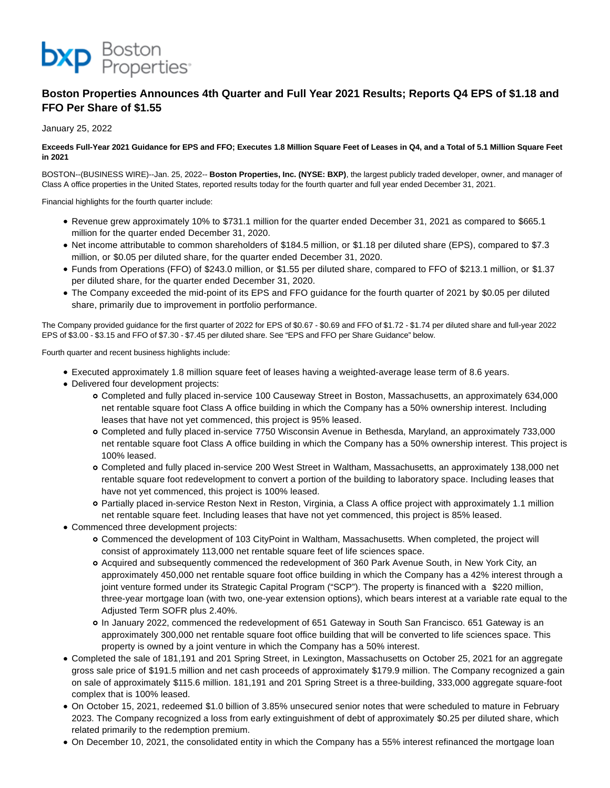

# **Boston Properties Announces 4th Quarter and Full Year 2021 Results; Reports Q4 EPS of \$1.18 and FFO Per Share of \$1.55**

January 25, 2022

## **Exceeds Full-Year 2021 Guidance for EPS and FFO; Executes 1.8 Million Square Feet of Leases in Q4, and a Total of 5.1 Million Square Feet in 2021**

BOSTON--(BUSINESS WIRE)--Jan. 25, 2022-- **Boston Properties, Inc. (NYSE: BXP)**, the largest publicly traded developer, owner, and manager of Class A office properties in the United States, reported results today for the fourth quarter and full year ended December 31, 2021.

Financial highlights for the fourth quarter include:

- Revenue grew approximately 10% to \$731.1 million for the quarter ended December 31, 2021 as compared to \$665.1 million for the quarter ended December 31, 2020.
- Net income attributable to common shareholders of \$184.5 million, or \$1.18 per diluted share (EPS), compared to \$7.3 million, or \$0.05 per diluted share, for the quarter ended December 31, 2020.
- Funds from Operations (FFO) of \$243.0 million, or \$1.55 per diluted share, compared to FFO of \$213.1 million, or \$1.37 per diluted share, for the quarter ended December 31, 2020.
- The Company exceeded the mid-point of its EPS and FFO guidance for the fourth quarter of 2021 by \$0.05 per diluted share, primarily due to improvement in portfolio performance.

The Company provided guidance for the first quarter of 2022 for EPS of \$0.67 - \$0.69 and FFO of \$1.72 - \$1.74 per diluted share and full-year 2022 EPS of \$3.00 - \$3.15 and FFO of \$7.30 - \$7.45 per diluted share. See "EPS and FFO per Share Guidance" below.

Fourth quarter and recent business highlights include:

- Executed approximately 1.8 million square feet of leases having a weighted-average lease term of 8.6 years.
- Delivered four development projects:
	- Completed and fully placed in-service 100 Causeway Street in Boston, Massachusetts, an approximately 634,000 net rentable square foot Class A office building in which the Company has a 50% ownership interest. Including leases that have not yet commenced, this project is 95% leased.
	- Completed and fully placed in-service 7750 Wisconsin Avenue in Bethesda, Maryland, an approximately 733,000 net rentable square foot Class A office building in which the Company has a 50% ownership interest. This project is 100% leased.
	- Completed and fully placed in-service 200 West Street in Waltham, Massachusetts, an approximately 138,000 net rentable square foot redevelopment to convert a portion of the building to laboratory space. Including leases that have not yet commenced, this project is 100% leased.
	- Partially placed in-service Reston Next in Reston, Virginia, a Class A office project with approximately 1.1 million net rentable square feet. Including leases that have not yet commenced, this project is 85% leased.
- Commenced three development projects:
	- Commenced the development of 103 CityPoint in Waltham, Massachusetts. When completed, the project will consist of approximately 113,000 net rentable square feet of life sciences space.
	- Acquired and subsequently commenced the redevelopment of 360 Park Avenue South, in New York City, an approximately 450,000 net rentable square foot office building in which the Company has a 42% interest through a joint venture formed under its Strategic Capital Program ("SCP"). The property is financed with a \$220 million, three-year mortgage loan (with two, one-year extension options), which bears interest at a variable rate equal to the Adjusted Term SOFR plus 2.40%.
	- In January 2022, commenced the redevelopment of 651 Gateway in South San Francisco. 651 Gateway is an approximately 300,000 net rentable square foot office building that will be converted to life sciences space. This property is owned by a joint venture in which the Company has a 50% interest.
- Completed the sale of 181,191 and 201 Spring Street, in Lexington, Massachusetts on October 25, 2021 for an aggregate gross sale price of \$191.5 million and net cash proceeds of approximately \$179.9 million. The Company recognized a gain on sale of approximately \$115.6 million. 181,191 and 201 Spring Street is a three-building, 333,000 aggregate square-foot complex that is 100% leased.
- On October 15, 2021, redeemed \$1.0 billion of 3.85% unsecured senior notes that were scheduled to mature in February 2023. The Company recognized a loss from early extinguishment of debt of approximately \$0.25 per diluted share, which related primarily to the redemption premium.
- On December 10, 2021, the consolidated entity in which the Company has a 55% interest refinanced the mortgage loan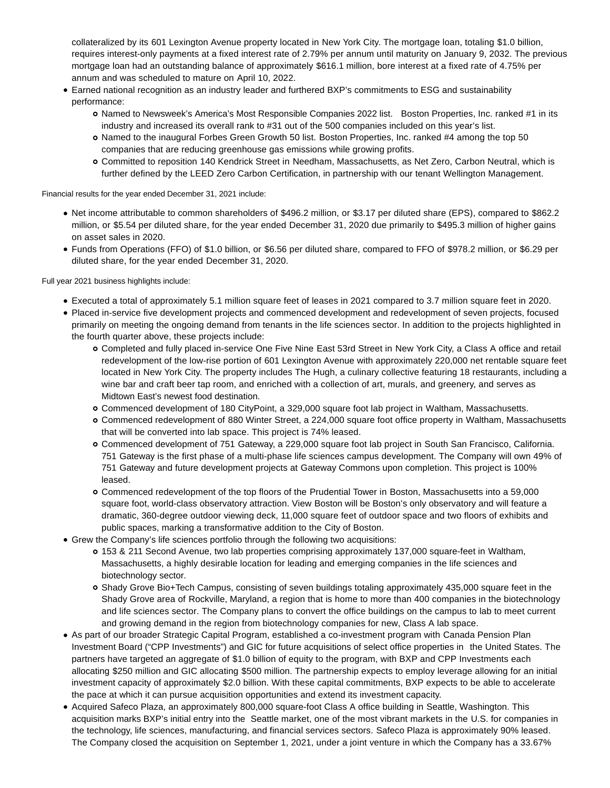collateralized by its 601 Lexington Avenue property located in New York City. The mortgage loan, totaling \$1.0 billion, requires interest-only payments at a fixed interest rate of 2.79% per annum until maturity on January 9, 2032. The previous mortgage loan had an outstanding balance of approximately \$616.1 million, bore interest at a fixed rate of 4.75% per annum and was scheduled to mature on April 10, 2022.

- Earned national recognition as an industry leader and furthered BXP's commitments to ESG and sustainability performance:
	- Named to Newsweek's America's Most Responsible Companies 2022 list. Boston Properties, Inc. ranked #1 in its industry and increased its overall rank to #31 out of the 500 companies included on this year's list.
	- o Named to the inaugural Forbes Green Growth 50 list. Boston Properties, Inc. ranked #4 among the top 50 companies that are reducing greenhouse gas emissions while growing profits.
	- Committed to reposition 140 Kendrick Street in Needham, Massachusetts, as Net Zero, Carbon Neutral, which is further defined by the LEED Zero Carbon Certification, in partnership with our tenant Wellington Management.

Financial results for the year ended December 31, 2021 include:

- Net income attributable to common shareholders of \$496.2 million, or \$3.17 per diluted share (EPS), compared to \$862.2 million, or \$5.54 per diluted share, for the year ended December 31, 2020 due primarily to \$495.3 million of higher gains on asset sales in 2020.
- Funds from Operations (FFO) of \$1.0 billion, or \$6.56 per diluted share, compared to FFO of \$978.2 million, or \$6.29 per diluted share, for the year ended December 31, 2020.

Full year 2021 business highlights include:

- Executed a total of approximately 5.1 million square feet of leases in 2021 compared to 3.7 million square feet in 2020.
- Placed in-service five development projects and commenced development and redevelopment of seven projects, focused primarily on meeting the ongoing demand from tenants in the life sciences sector. In addition to the projects highlighted in the fourth quarter above, these projects include:
	- Completed and fully placed in-service One Five Nine East 53rd Street in New York City, a Class A office and retail redevelopment of the low-rise portion of 601 Lexington Avenue with approximately 220,000 net rentable square feet located in New York City. The property includes The Hugh, a culinary collective featuring 18 restaurants, including a wine bar and craft beer tap room, and enriched with a collection of art, murals, and greenery, and serves as Midtown East's newest food destination.
	- Commenced development of 180 CityPoint, a 329,000 square foot lab project in Waltham, Massachusetts.
	- Commenced redevelopment of 880 Winter Street, a 224,000 square foot office property in Waltham, Massachusetts that will be converted into lab space. This project is 74% leased.
	- Commenced development of 751 Gateway, a 229,000 square foot lab project in South San Francisco, California. 751 Gateway is the first phase of a multi-phase life sciences campus development. The Company will own 49% of 751 Gateway and future development projects at Gateway Commons upon completion. This project is 100% leased.
	- Commenced redevelopment of the top floors of the Prudential Tower in Boston, Massachusetts into a 59,000 square foot, world-class observatory attraction. View Boston will be Boston's only observatory and will feature a dramatic, 360-degree outdoor viewing deck, 11,000 square feet of outdoor space and two floors of exhibits and public spaces, marking a transformative addition to the City of Boston.
- Grew the Company's life sciences portfolio through the following two acquisitions:
	- 153 & 211 Second Avenue, two lab properties comprising approximately 137,000 square-feet in Waltham, Massachusetts, a highly desirable location for leading and emerging companies in the life sciences and biotechnology sector.
	- Shady Grove Bio+Tech Campus, consisting of seven buildings totaling approximately 435,000 square feet in the Shady Grove area of Rockville, Maryland, a region that is home to more than 400 companies in the biotechnology and life sciences sector. The Company plans to convert the office buildings on the campus to lab to meet current and growing demand in the region from biotechnology companies for new, Class A lab space.
- As part of our broader Strategic Capital Program, established a co-investment program with Canada Pension Plan Investment Board ("CPP Investments") and GIC for future acquisitions of select office properties in the United States. The partners have targeted an aggregate of \$1.0 billion of equity to the program, with BXP and CPP Investments each allocating \$250 million and GIC allocating \$500 million. The partnership expects to employ leverage allowing for an initial investment capacity of approximately \$2.0 billion. With these capital commitments, BXP expects to be able to accelerate the pace at which it can pursue acquisition opportunities and extend its investment capacity.
- Acquired Safeco Plaza, an approximately 800,000 square-foot Class A office building in Seattle, Washington. This acquisition marks BXP's initial entry into the Seattle market, one of the most vibrant markets in the U.S. for companies in the technology, life sciences, manufacturing, and financial services sectors. Safeco Plaza is approximately 90% leased. The Company closed the acquisition on September 1, 2021, under a joint venture in which the Company has a 33.67%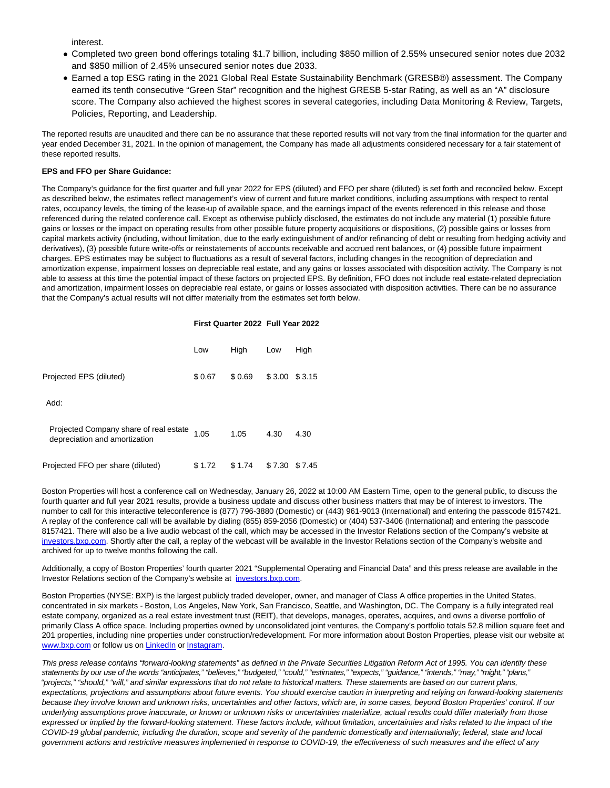interest.

- Completed two green bond offerings totaling \$1.7 billion, including \$850 million of 2.55% unsecured senior notes due 2032 and \$850 million of 2.45% unsecured senior notes due 2033.
- Earned a top ESG rating in the 2021 Global Real Estate Sustainability Benchmark (GRESB®) assessment. The Company earned its tenth consecutive "Green Star" recognition and the highest GRESB 5-star Rating, as well as an "A" disclosure score. The Company also achieved the highest scores in several categories, including Data Monitoring & Review, Targets, Policies, Reporting, and Leadership.

The reported results are unaudited and there can be no assurance that these reported results will not vary from the final information for the quarter and year ended December 31, 2021. In the opinion of management, the Company has made all adjustments considered necessary for a fair statement of these reported results.

### **EPS and FFO per Share Guidance:**

The Company's guidance for the first quarter and full year 2022 for EPS (diluted) and FFO per share (diluted) is set forth and reconciled below. Except as described below, the estimates reflect management's view of current and future market conditions, including assumptions with respect to rental rates, occupancy levels, the timing of the lease-up of available space, and the earnings impact of the events referenced in this release and those referenced during the related conference call. Except as otherwise publicly disclosed, the estimates do not include any material (1) possible future gains or losses or the impact on operating results from other possible future property acquisitions or dispositions, (2) possible gains or losses from capital markets activity (including, without limitation, due to the early extinguishment of and/or refinancing of debt or resulting from hedging activity and derivatives), (3) possible future write-offs or reinstatements of accounts receivable and accrued rent balances, or (4) possible future impairment charges. EPS estimates may be subject to fluctuations as a result of several factors, including changes in the recognition of depreciation and amortization expense, impairment losses on depreciable real estate, and any gains or losses associated with disposition activity. The Company is not able to assess at this time the potential impact of these factors on projected EPS. By definition, FFO does not include real estate-related depreciation and amortization, impairment losses on depreciable real estate, or gains or losses associated with disposition activities. There can be no assurance that the Company's actual results will not differ materially from the estimates set forth below.

#### **First Quarter 2022 Full Year 2022**

|                                                                         | Low    | High   | Low    | High   |
|-------------------------------------------------------------------------|--------|--------|--------|--------|
| Projected EPS (diluted)                                                 | \$0.67 | \$0.69 | \$3.00 | \$3.15 |
| Add:                                                                    |        |        |        |        |
| Projected Company share of real estate<br>depreciation and amortization | 1.05   | 1.05   | 4.30   | 4.30   |
| Projected FFO per share (diluted)                                       | \$1.72 | \$1.74 | \$7.30 | \$7.45 |

Boston Properties will host a conference call on Wednesday, January 26, 2022 at 10:00 AM Eastern Time, open to the general public, to discuss the fourth quarter and full year 2021 results, provide a business update and discuss other business matters that may be of interest to investors. The number to call for this interactive teleconference is (877) 796-3880 (Domestic) or (443) 961-9013 (International) and entering the passcode 8157421. A replay of the conference call will be available by dialing (855) 859-2056 (Domestic) or (404) 537-3406 (International) and entering the passcode 8157421. There will also be a live audio webcast of the call, which may be accessed in the Investor Relations section of the Company's website at [investors.bxp.com.](https://cts.businesswire.com/ct/CT?id=smartlink&url=http%3A%2F%2Finvestors.bxp.com&esheet=52568605&newsitemid=20220125006177&lan=en-US&anchor=investors.bxp.com&index=1&md5=4144e41d86c5f32e01a3c1008d9f76a6) Shortly after the call, a replay of the webcast will be available in the Investor Relations section of the Company's website and archived for up to twelve months following the call.

Additionally, a copy of Boston Properties' fourth quarter 2021 "Supplemental Operating and Financial Data" and this press release are available in the Investor Relations section of the Company's website at [investors.bxp.com.](https://cts.businesswire.com/ct/CT?id=smartlink&url=http%3A%2F%2Finvestors.bxp.com&esheet=52568605&newsitemid=20220125006177&lan=en-US&anchor=investors.bxp.com&index=2&md5=00e08490544084dafb06fdf9e04e9184)

Boston Properties (NYSE: BXP) is the largest publicly traded developer, owner, and manager of Class A office properties in the United States, concentrated in six markets - Boston, Los Angeles, New York, San Francisco, Seattle, and Washington, DC. The Company is a fully integrated real estate company, organized as a real estate investment trust (REIT), that develops, manages, operates, acquires, and owns a diverse portfolio of primarily Class A office space. Including properties owned by unconsolidated joint ventures, the Company's portfolio totals 52.8 million square feet and 201 properties, including nine properties under construction/redevelopment. For more information about Boston Properties, please visit our website at [www.bxp.com o](https://cts.businesswire.com/ct/CT?id=smartlink&url=http%3A%2F%2Fwww.bxp.com&esheet=52568605&newsitemid=20220125006177&lan=en-US&anchor=www.bxp.com&index=3&md5=ea5b5658686ecb74d6d4e76814f58fa3)r follow us o[n LinkedIn o](https://cts.businesswire.com/ct/CT?id=smartlink&url=https%3A%2F%2Fwww.linkedin.com%2Fcompany%2Fboston-properties&esheet=52568605&newsitemid=20220125006177&lan=en-US&anchor=LinkedIn&index=4&md5=bfea7f061dca7873f6d478bf0b3773dd)r [Instagram.](https://cts.businesswire.com/ct/CT?id=smartlink&url=https%3A%2F%2Fwww.instagram.com%2Fbxpbostonproperties%2F%3Fhl%3Den&esheet=52568605&newsitemid=20220125006177&lan=en-US&anchor=Instagram&index=5&md5=2b4e66aee8086e9403b8ce1cd36e3020)

This press release contains "forward-looking statements" as defined in the Private Securities Litigation Reform Act of 1995. You can identify these statements by our use of the words "anticipates," "believes," "budgeted," "could," "estimates," "expects," "guidance," "intends," "may," "might," "plans," "projects," "should," "will," and similar expressions that do not relate to historical matters. These statements are based on our current plans, expectations, projections and assumptions about future events. You should exercise caution in interpreting and relying on forward-looking statements because they involve known and unknown risks, uncertainties and other factors, which are, in some cases, beyond Boston Properties' control. If our underlying assumptions prove inaccurate, or known or unknown risks or uncertainties materialize, actual results could differ materially from those expressed or implied by the forward-looking statement. These factors include, without limitation, uncertainties and risks related to the impact of the COVID-19 global pandemic, including the duration, scope and severity of the pandemic domestically and internationally; federal, state and local government actions and restrictive measures implemented in response to COVID-19, the effectiveness of such measures and the effect of any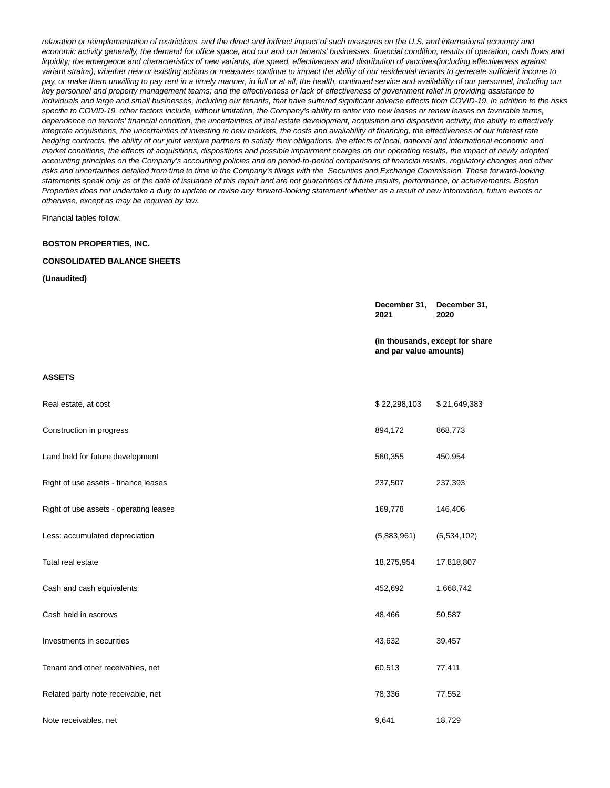relaxation or reimplementation of restrictions, and the direct and indirect impact of such measures on the U.S. and international economy and economic activity generally, the demand for office space, and our and our tenants' businesses, financial condition, results of operation, cash flows and liquidity; the emergence and characteristics of new variants, the speed, effectiveness and distribution of vaccines(including effectiveness against variant strains), whether new or existing actions or measures continue to impact the ability of our residential tenants to generate sufficient income to pay, or make them unwilling to pay rent in a timely manner, in full or at all; the health, continued service and availability of our personnel, including our key personnel and property management teams; and the effectiveness or lack of effectiveness of government relief in providing assistance to individuals and large and small businesses, including our tenants, that have suffered significant adverse effects from COVID-19. In addition to the risks specific to COVID-19, other factors include, without limitation, the Company's ability to enter into new leases or renew leases on favorable terms, dependence on tenants' financial condition, the uncertainties of real estate development, acquisition and disposition activity, the ability to effectively integrate acquisitions, the uncertainties of investing in new markets, the costs and availability of financing, the effectiveness of our interest rate hedging contracts, the ability of our joint venture partners to satisfy their obligations, the effects of local, national and international economic and market conditions, the effects of acquisitions, dispositions and possible impairment charges on our operating results, the impact of newly adopted accounting principles on the Company's accounting policies and on period-to-period comparisons of financial results, regulatory changes and other risks and uncertainties detailed from time to time in the Company's filings with the Securities and Exchange Commission. These forward-looking statements speak only as of the date of issuance of this report and are not guarantees of future results, performance, or achievements. Boston Properties does not undertake a duty to update or revise any forward-looking statement whether as a result of new information, future events or otherwise, except as may be required by law.

Financial tables follow.

#### **BOSTON PROPERTIES, INC.**

## **CONSOLIDATED BALANCE SHEETS**

#### **(Unaudited)**

|                                        | December 31,<br>2021   | December 31,<br>2020            |
|----------------------------------------|------------------------|---------------------------------|
|                                        | and par value amounts) | (in thousands, except for share |
| <b>ASSETS</b>                          |                        |                                 |
| Real estate, at cost                   | \$22,298,103           | \$21,649,383                    |
| Construction in progress               | 894,172                | 868,773                         |
| Land held for future development       | 560,355                | 450,954                         |
| Right of use assets - finance leases   | 237,507                | 237,393                         |
| Right of use assets - operating leases | 169,778                | 146,406                         |
| Less: accumulated depreciation         | (5,883,961)            | (5,534,102)                     |
| Total real estate                      | 18,275,954             | 17,818,807                      |
| Cash and cash equivalents              | 452,692                | 1,668,742                       |
| Cash held in escrows                   | 48,466                 | 50,587                          |
| Investments in securities              | 43,632                 | 39,457                          |
| Tenant and other receivables, net      | 60,513                 | 77,411                          |
| Related party note receivable, net     | 78,336                 | 77,552                          |
| Note receivables, net                  | 9,641                  | 18,729                          |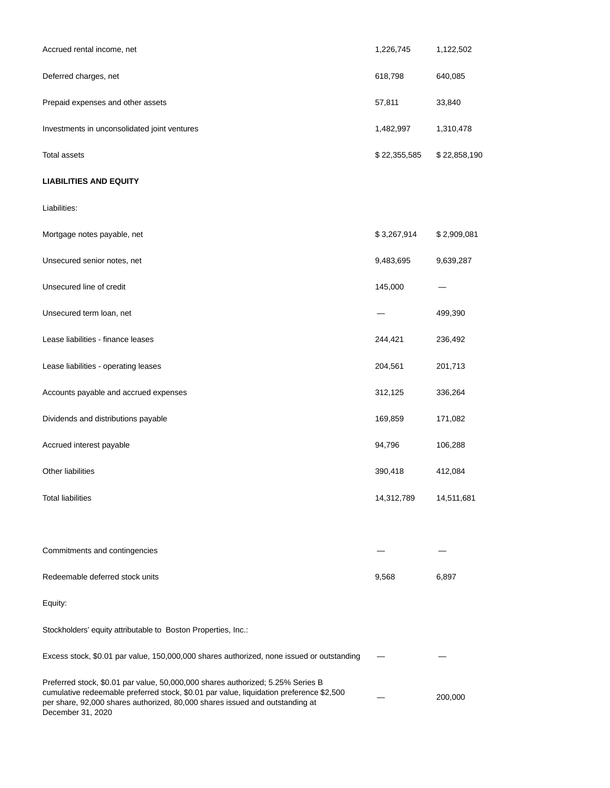| Accrued rental income, net                                                                                                                                                                                                                                                      | 1,226,745    | 1,122,502    |
|---------------------------------------------------------------------------------------------------------------------------------------------------------------------------------------------------------------------------------------------------------------------------------|--------------|--------------|
| Deferred charges, net                                                                                                                                                                                                                                                           | 618,798      | 640,085      |
| Prepaid expenses and other assets                                                                                                                                                                                                                                               | 57,811       | 33,840       |
| Investments in unconsolidated joint ventures                                                                                                                                                                                                                                    | 1,482,997    | 1,310,478    |
| <b>Total assets</b>                                                                                                                                                                                                                                                             | \$22,355,585 | \$22,858,190 |
| <b>LIABILITIES AND EQUITY</b>                                                                                                                                                                                                                                                   |              |              |
| Liabilities:                                                                                                                                                                                                                                                                    |              |              |
| Mortgage notes payable, net                                                                                                                                                                                                                                                     | \$3,267,914  | \$2,909,081  |
| Unsecured senior notes, net                                                                                                                                                                                                                                                     | 9,483,695    | 9,639,287    |
| Unsecured line of credit                                                                                                                                                                                                                                                        | 145,000      |              |
| Unsecured term loan, net                                                                                                                                                                                                                                                        |              | 499,390      |
| Lease liabilities - finance leases                                                                                                                                                                                                                                              | 244,421      | 236,492      |
| Lease liabilities - operating leases                                                                                                                                                                                                                                            | 204,561      | 201,713      |
| Accounts payable and accrued expenses                                                                                                                                                                                                                                           | 312,125      | 336,264      |
| Dividends and distributions payable                                                                                                                                                                                                                                             | 169,859      | 171,082      |
| Accrued interest payable                                                                                                                                                                                                                                                        | 94,796       | 106,288      |
| Other liabilities                                                                                                                                                                                                                                                               | 390,418      | 412,084      |
| <b>Total liabilities</b>                                                                                                                                                                                                                                                        | 14,312,789   | 14,511,681   |
|                                                                                                                                                                                                                                                                                 |              |              |
| Commitments and contingencies                                                                                                                                                                                                                                                   |              |              |
| Redeemable deferred stock units                                                                                                                                                                                                                                                 | 9,568        | 6,897        |
| Equity:                                                                                                                                                                                                                                                                         |              |              |
| Stockholders' equity attributable to Boston Properties, Inc.:                                                                                                                                                                                                                   |              |              |
| Excess stock, \$0.01 par value, 150,000,000 shares authorized, none issued or outstanding                                                                                                                                                                                       |              |              |
| Preferred stock, \$0.01 par value, 50,000,000 shares authorized; 5.25% Series B<br>cumulative redeemable preferred stock, \$0.01 par value, liquidation preference \$2,500<br>per share, 92,000 shares authorized, 80,000 shares issued and outstanding at<br>December 31, 2020 |              | 200,000      |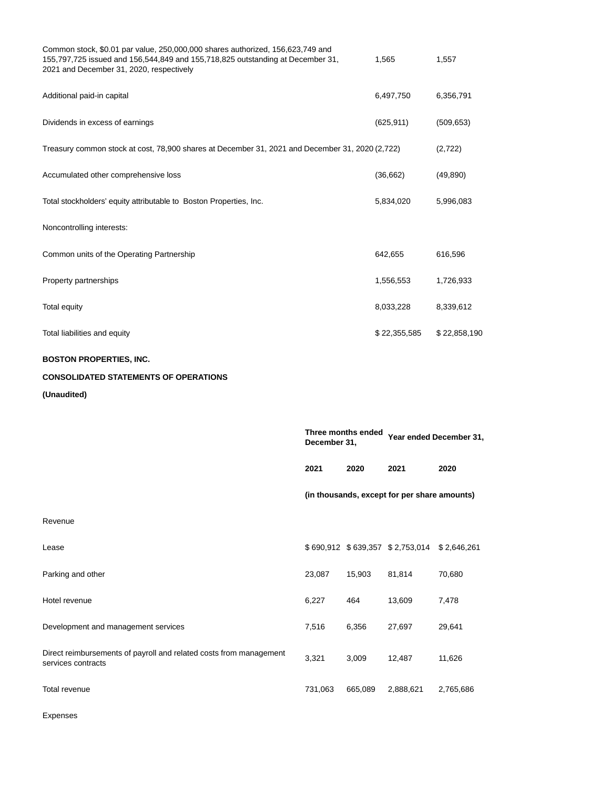| Common stock, \$0.01 par value, 250,000,000 shares authorized, 156,623,749 and<br>155,797,725 issued and 156,544,849 and 155,718,825 outstanding at December 31,<br>2021 and December 31, 2020, respectively |              |                    | 1,565                                        | 1,557                   |
|--------------------------------------------------------------------------------------------------------------------------------------------------------------------------------------------------------------|--------------|--------------------|----------------------------------------------|-------------------------|
| Additional paid-in capital                                                                                                                                                                                   |              |                    | 6,497,750                                    | 6,356,791               |
| Dividends in excess of earnings                                                                                                                                                                              |              |                    | (625, 911)                                   | (509, 653)              |
| Treasury common stock at cost, 78,900 shares at December 31, 2021 and December 31, 2020 (2,722)                                                                                                              |              |                    |                                              | (2,722)                 |
| Accumulated other comprehensive loss                                                                                                                                                                         |              |                    | (36, 662)                                    | (49, 890)               |
| Total stockholders' equity attributable to Boston Properties, Inc.                                                                                                                                           |              |                    | 5,834,020                                    | 5,996,083               |
| Noncontrolling interests:                                                                                                                                                                                    |              |                    |                                              |                         |
| Common units of the Operating Partnership                                                                                                                                                                    |              |                    | 642,655                                      | 616,596                 |
| Property partnerships                                                                                                                                                                                        |              |                    | 1,556,553                                    | 1,726,933               |
| Total equity                                                                                                                                                                                                 |              |                    | 8,033,228                                    | 8,339,612               |
| Total liabilities and equity                                                                                                                                                                                 |              |                    | \$22,355,585                                 | \$22,858,190            |
| <b>BOSTON PROPERTIES, INC.</b>                                                                                                                                                                               |              |                    |                                              |                         |
| <b>CONSOLIDATED STATEMENTS OF OPERATIONS</b>                                                                                                                                                                 |              |                    |                                              |                         |
| (Unaudited)                                                                                                                                                                                                  |              |                    |                                              |                         |
|                                                                                                                                                                                                              | December 31, | Three months ended |                                              | Year ended December 31, |
|                                                                                                                                                                                                              | 2021         | 2020               | 2021                                         | 2020                    |
|                                                                                                                                                                                                              |              |                    | (in thousands, except for per share amounts) |                         |
| Revenue                                                                                                                                                                                                      |              |                    |                                              |                         |
| Lease                                                                                                                                                                                                        |              |                    | \$690,912 \$639,357 \$2,753,014              | \$2,646,261             |
| Parking and other                                                                                                                                                                                            | 23,087       | 15,903             | 81,814                                       | 70,680                  |
| Hotel revenue                                                                                                                                                                                                | 6,227        | 464                | 13,609                                       | 7,478                   |
| Development and management services                                                                                                                                                                          | 7,516        | 6,356              | 27,697                                       | 29,641                  |
| Direct reimbursements of payroll and related costs from management<br>services contracts                                                                                                                     | 3,321        | 3,009              | 12,487                                       | 11,626                  |
| Total revenue                                                                                                                                                                                                | 731,063      | 665,089            | 2,888,621                                    | 2,765,686               |

Expenses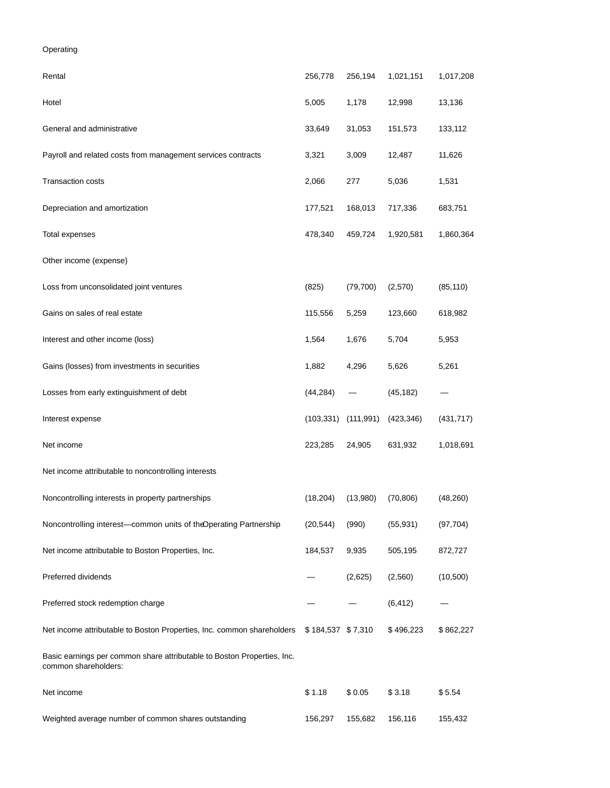Operating

| Rental                                                                                          | 256,778           | 256,194    | 1,021,151  | 1,017,208  |
|-------------------------------------------------------------------------------------------------|-------------------|------------|------------|------------|
| Hotel                                                                                           | 5,005             | 1,178      | 12,998     | 13,136     |
| General and administrative                                                                      | 33,649            | 31,053     | 151,573    | 133,112    |
| Payroll and related costs from management services contracts                                    | 3,321             | 3,009      | 12,487     | 11,626     |
| <b>Transaction costs</b>                                                                        | 2,066             | 277        | 5,036      | 1,531      |
| Depreciation and amortization                                                                   | 177,521           | 168,013    | 717,336    | 683,751    |
| Total expenses                                                                                  | 478,340           | 459,724    | 1,920,581  | 1,860,364  |
| Other income (expense)                                                                          |                   |            |            |            |
| Loss from unconsolidated joint ventures                                                         | (825)             | (79, 700)  | (2,570)    | (85, 110)  |
| Gains on sales of real estate                                                                   | 115,556           | 5,259      | 123,660    | 618,982    |
| Interest and other income (loss)                                                                | 1,564             | 1,676      | 5,704      | 5,953      |
| Gains (losses) from investments in securities                                                   | 1,882             | 4,296      | 5,626      | 5,261      |
| Losses from early extinguishment of debt                                                        | (44, 284)         |            | (45, 182)  |            |
| Interest expense                                                                                | (103, 331)        | (111, 991) | (423, 346) | (431, 717) |
| Net income                                                                                      | 223,285           | 24,905     | 631,932    | 1,018,691  |
| Net income attributable to noncontrolling interests                                             |                   |            |            |            |
| Noncontrolling interests in property partnerships                                               | (18, 204)         | (13,980)   | (70, 806)  | (48, 260)  |
| Noncontrolling interest-common units of theOperating Partnership                                | (20, 544)         | (990)      | (55, 931)  | (97, 704)  |
| Net income attributable to Boston Properties, Inc.                                              | 184,537           | 9,935      | 505,195    | 872,727    |
| Preferred dividends                                                                             |                   | (2,625)    | (2,560)    | (10, 500)  |
| Preferred stock redemption charge                                                               |                   |            | (6, 412)   |            |
| Net income attributable to Boston Properties, Inc. common shareholders                          | \$184,537 \$7,310 |            | \$496,223  | \$862,227  |
| Basic earnings per common share attributable to Boston Properties, Inc.<br>common shareholders: |                   |            |            |            |
| Net income                                                                                      | \$1.18            | \$0.05     | \$3.18     | \$5.54     |
| Weighted average number of common shares outstanding                                            | 156,297           | 155,682    | 156,116    | 155,432    |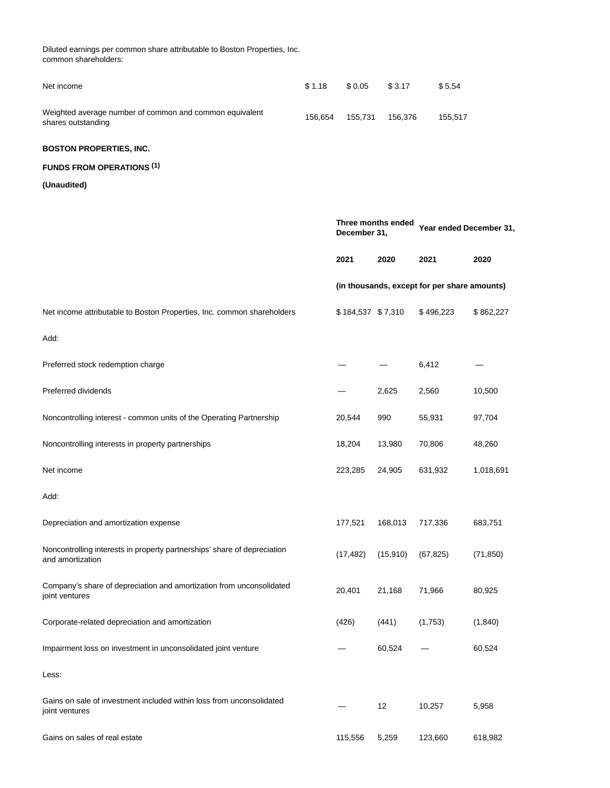| Diluted earnings per common share attributable to Boston Properties, Inc.<br>common shareholders: |         |                   |                    |                                              |           |
|---------------------------------------------------------------------------------------------------|---------|-------------------|--------------------|----------------------------------------------|-----------|
| Net income                                                                                        | \$1.18  | \$0.05            | \$3.17             | \$5.54                                       |           |
| Weighted average number of common and common equivalent<br>shares outstanding                     | 156,654 | 155,731           | 156,376            | 155,517                                      |           |
| <b>BOSTON PROPERTIES, INC.</b>                                                                    |         |                   |                    |                                              |           |
| <b>FUNDS FROM OPERATIONS (1)</b>                                                                  |         |                   |                    |                                              |           |
| (Unaudited)                                                                                       |         |                   |                    |                                              |           |
|                                                                                                   |         | December 31,      | Three months ended | Year ended December 31,                      |           |
|                                                                                                   |         | 2021              | 2020               | 2021                                         | 2020      |
|                                                                                                   |         |                   |                    | (in thousands, except for per share amounts) |           |
| Net income attributable to Boston Properties, Inc. common shareholders                            |         | \$184,537 \$7,310 |                    | \$496,223                                    | \$862,227 |
| Add:                                                                                              |         |                   |                    |                                              |           |
| Preferred stock redemption charge                                                                 |         |                   |                    | 6,412                                        |           |
| Preferred dividends                                                                               |         |                   | 2,625              | 2,560                                        | 10,500    |
| Noncontrolling interest - common units of the Operating Partnership                               |         | 20,544            | 990                | 55,931                                       | 97,704    |
| Noncontrolling interests in property partnerships                                                 |         | 18,204            | 13,980             | 70,806                                       | 48,260    |
| Net income                                                                                        |         | 223,285           | 24,905             | 631,932                                      | 1,018,691 |
| Add:                                                                                              |         |                   |                    |                                              |           |
| Depreciation and amortization expense                                                             |         | 177,521           | 168,013            | 717,336                                      | 683,751   |
| Noncontrolling interests in property partnerships' share of depreciation<br>and amortization      |         | (17, 482)         | (15, 910)          | (67, 825)                                    | (71, 850) |
| Company's share of depreciation and amortization from unconsolidated<br>joint ventures            |         | 20,401            | 21,168             | 71,966                                       | 80,925    |
| Corporate-related depreciation and amortization                                                   |         | (426)             | (441)              | (1,753)                                      | (1,840)   |
| Impairment loss on investment in unconsolidated joint venture                                     |         |                   | 60,524             |                                              | 60,524    |
| Less:                                                                                             |         |                   |                    |                                              |           |
| Gains on sale of investment included within loss from unconsolidated<br>joint ventures            |         |                   | 12                 | 10,257                                       | 5,958     |
| Gains on sales of real estate                                                                     |         | 115,556           | 5,259              | 123,660                                      | 618,982   |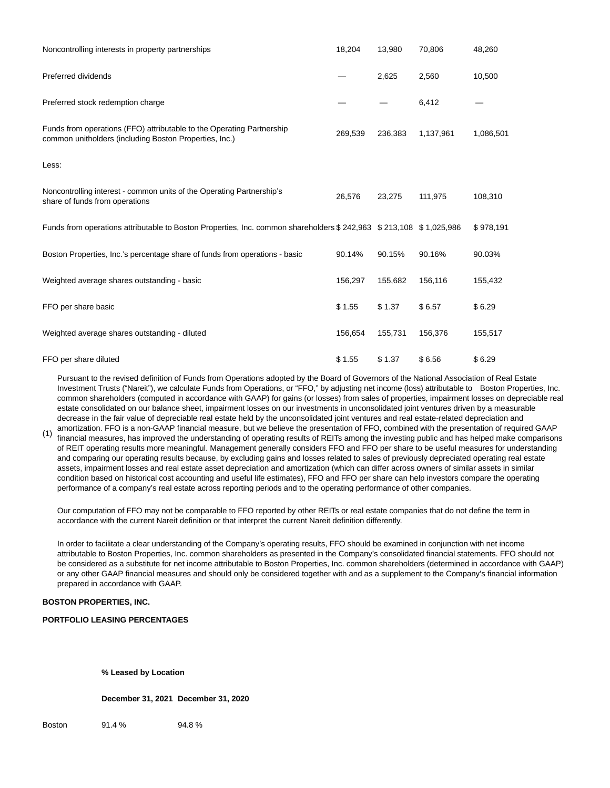| Noncontrolling interests in property partnerships                                                                               | 18,204  | 13,980  | 70,806    | 48,260    |
|---------------------------------------------------------------------------------------------------------------------------------|---------|---------|-----------|-----------|
| Preferred dividends                                                                                                             |         | 2,625   | 2,560     | 10,500    |
| Preferred stock redemption charge                                                                                               |         |         | 6,412     |           |
| Funds from operations (FFO) attributable to the Operating Partnership<br>common unitholders (including Boston Properties, Inc.) | 269,539 | 236,383 | 1,137,961 | 1,086,501 |
| Less:                                                                                                                           |         |         |           |           |
| Noncontrolling interest - common units of the Operating Partnership's<br>share of funds from operations                         | 26,576  | 23,275  | 111,975   | 108,310   |
| Funds from operations attributable to Boston Properties, Inc. common shareholders \$ 242,963 \$ 213,108 \$ 1,025,986            |         |         |           | \$978,191 |
| Boston Properties, Inc.'s percentage share of funds from operations - basic                                                     | 90.14%  | 90.15%  | 90.16%    | 90.03%    |
| Weighted average shares outstanding - basic                                                                                     | 156,297 | 155,682 | 156,116   | 155,432   |
| FFO per share basic                                                                                                             | \$1.55  | \$1.37  | \$6.57    | \$6.29    |
| Weighted average shares outstanding - diluted                                                                                   | 156,654 | 155,731 | 156,376   | 155,517   |
| FFO per share diluted                                                                                                           | \$1.55  | \$1.37  | \$6.56    | \$6.29    |

Pursuant to the revised definition of Funds from Operations adopted by the Board of Governors of the National Association of Real Estate Investment Trusts ("Nareit"), we calculate Funds from Operations, or "FFO," by adjusting net income (loss) attributable to Boston Properties, Inc. common shareholders (computed in accordance with GAAP) for gains (or losses) from sales of properties, impairment losses on depreciable real estate consolidated on our balance sheet, impairment losses on our investments in unconsolidated joint ventures driven by a measurable decrease in the fair value of depreciable real estate held by the unconsolidated joint ventures and real estate-related depreciation and

(1) amortization. FFO is a non-GAAP financial measure, but we believe the presentation of FFO, combined with the presentation of required GAAP financial measures, has improved the understanding of operating results of REITs among the investing public and has helped make comparisons of REIT operating results more meaningful. Management generally considers FFO and FFO per share to be useful measures for understanding and comparing our operating results because, by excluding gains and losses related to sales of previously depreciated operating real estate assets, impairment losses and real estate asset depreciation and amortization (which can differ across owners of similar assets in similar condition based on historical cost accounting and useful life estimates), FFO and FFO per share can help investors compare the operating performance of a company's real estate across reporting periods and to the operating performance of other companies.

Our computation of FFO may not be comparable to FFO reported by other REITs or real estate companies that do not define the term in accordance with the current Nareit definition or that interpret the current Nareit definition differently.

In order to facilitate a clear understanding of the Company's operating results, FFO should be examined in conjunction with net income attributable to Boston Properties, Inc. common shareholders as presented in the Company's consolidated financial statements. FFO should not be considered as a substitute for net income attributable to Boston Properties, Inc. common shareholders (determined in accordance with GAAP) or any other GAAP financial measures and should only be considered together with and as a supplement to the Company's financial information prepared in accordance with GAAP.

## **BOSTON PROPERTIES, INC.**

## **PORTFOLIO LEASING PERCENTAGES**

**% Leased by Location**

**December 31, 2021 December 31, 2020**

Boston 91.4 % 94.8 %